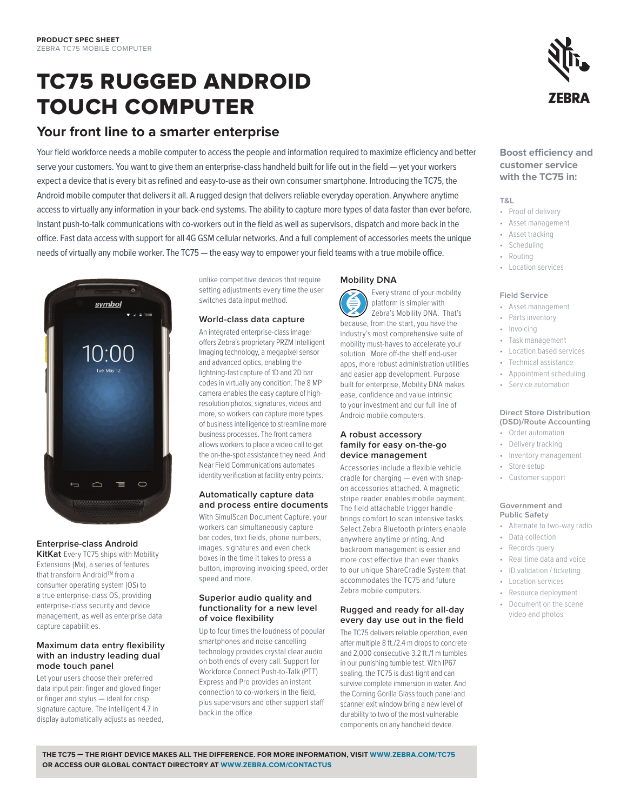# TC75 RUGGED ANDROID TOUCH COMPUTER

# **Your front line to a smarter enterprise**

Your field workforce needs a mobile computer to access the people and information required to maximize efficiency and better serve your customers. You want to give them an enterprise-class handheld built for life out in the field — yet your workers expect a device that is every bit as refined and easy-to-use as their own consumer smartphone. Introducing the TC75, the Android mobile computer that delivers it all. A rugged design that delivers reliable everyday operation. Anywhere anytime access to virtually any information in your back-end systems. The ability to capture more types of data faster than ever before. Instant push-to-talk communications with co-workers out in the field as well as supervisors, dispatch and more back in the office. Fast data access with support for all 4G GSM cellular networks. And a full complement of accessories meets the unique needs of virtually any mobile worker. The TC75 — the easy way to empower your field teams with a true mobile office.



## **Enterprise-class Android**

**KitKat** Every TC75 ships with Mobility Extensions (Mx), a series of features that transform Android™ from a consumer operating system (OS) to a true enterprise-class OS, providing enterprise-class security and device management, as well as enterprise data capture capabilities.

#### **Maximum data entry flexibility with an industry leading dual mode touch panel**

Let your users choose their preferred data input pair: finger and gloved finger or finger and stylus — ideal for crisp signature capture. The intelligent 4.7 in display automatically adjusts as needed, unlike competitive devices that require setting adjustments every time the user switches data input method.

## **World-class data capture**

An integrated enterprise-class imager offers Zebra's proprietary PRZM Intelligent Imaging technology, a megapixel sensor and advanced optics, enabling the lightning-fast capture of 1D and 2D bar codes in virtually any condition. The 8 MP camera enables the easy capture of highresolution photos, signatures, videos and more, so workers can capture more types of business intelligence to streamline more business processes. The front camera allows workers to place a video call to get the on-the-spot assistance they need. And Near Field Communications automates identity verification at facility entry points.

#### **Automatically capture data and process entire documents**

With SimulScan Document Capture, your workers can simultaneously capture bar codes, text fields, phone numbers, images, signatures and even check boxes in the time it takes to press a button, improving invoicing speed, order speed and more.

#### **Superior audio quality and functionality for a new level of voice flexibility**

Up to four times the loudness of popular smartphones and noise cancelling technology provides crystal clear audio on both ends of every call. Support for Workforce Connect Push-to-Talk (PTT) Express and Pro provides an instant connection to co-workers in the field, plus supervisors and other support staff back in the office.

# **Mobility DNA**

 Every strand of your mobility platform is simpler with Zebra's Mobility DNA. That's because, from the start, you have the industry's most comprehensive suite of mobility must-haves to accelerate your solution. More off-the shelf end-user apps, more robust administration utilities and easier app development. Purpose built for enterprise, Mobility DNA makes ease, confidence and value intrinsic to your investment and our full line of Android mobile computers.

#### **A robust accessory family for easy on-the-go device management**

Accessories include a flexible vehicle cradle for charging — even with snapon accessories attached. A magnetic stripe reader enables mobile payment. The field attachable trigger handle brings comfort to scan intensive tasks. Select Zebra Bluetooth printers enable anywhere anytime printing. And backroom management is easier and more cost effective than ever thanks to our unique ShareCradle System that accommodates the TC75 and future Zebra mobile computers.

#### **Rugged and ready for all-day every day use out in the field**

The TC75 delivers reliable operation, even after multiple 8 ft./2.4 m drops to concrete and 2,000 consecutive 3.2 ft./1 m tumbles in our punishing tumble test. With IP67 sealing, the TC75 is dust-tight and can survive complete immersion in water. And the Corning Gorilla Glass touch panel and scanner exit window bring a new level of durability to two of the most vulnerable components on any handheld device.



# **Boost efficiency and customer service with the TC75 in:**

## **T&L**

- • Proof of delivery
- • Asset management
- • Asset tracking
- • Scheduling • Routing
- • Location services

#### **Field Service**

- • Asset management
- • Parts inventory
- Invoicing
- Task management
- **Location based services**
- Technical assistance
- Appointment scheduling
- • Service automation

#### **Direct Store Distribution (DSD)/Route Accounting**

- • Order automation
- • Delivery tracking • Inventory management
- 
- • Store setup • Customer support

# **Government and Public Safety**

- • Alternate to two-way radio
- • Data collection
- • Records query
- • Real time data and voice
- • ID validation / ticketing
- • Location services
- • Resource deployment
- Document on the scene video and photos

**THE TC75 — THE RIGHT DEVICE MAKES ALL THE DIFFERENCE. FOR MORE INFORMATION, VISIT WWW.ZEBRA.COM/TC75 OR ACCESS OUR GLOBAL CONTACT DIRECTORY AT WWW.ZEBRA.COM/CONTACTUS**